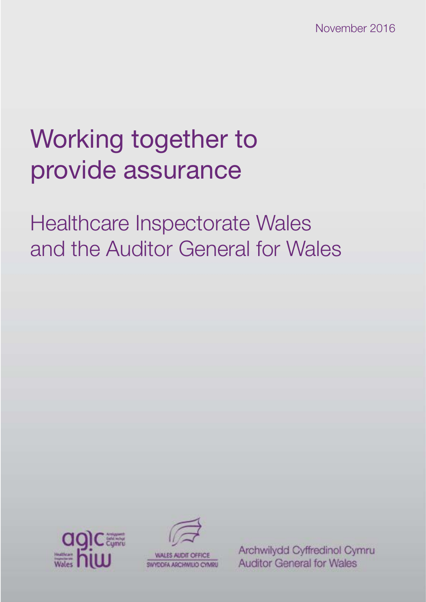November 2016

# Working together to provide assurance

Healthcare Inspectorate Wales and the Auditor General for Wales





Archwilydd Cyffredinol Cymru **Auditor General for Wales**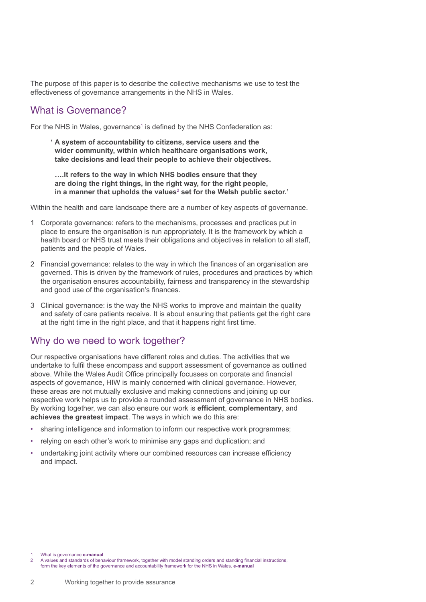The purpose of this paper is to describe the collective mechanisms we use to test the effectiveness of governance arrangements in the NHS in Wales.

## What is Governance?

For the NHS in Wales, governance<sup>1</sup> is defined by the NHS Confederation as:

**' A system of accountability to citizens, service users and the wider community, within which healthcare organisations work, take decisions and lead their people to achieve their objectives.**

**….It refers to the way in which NHS bodies ensure that they are doing the right things, in the right way, for the right people, in a manner that upholds the values**<sup>2</sup>  **set for the Welsh public sector.'**

Within the health and care landscape there are a number of key aspects of governance.

- 1 Corporate governance: refers to the mechanisms, processes and practices put in place to ensure the organisation is run appropriately. It is the framework by which a health board or NHS trust meets their obligations and objectives in relation to all staff, patients and the people of Wales.
- 2 Financial governance: relates to the way in which the finances of an organisation are governed. This is driven by the framework of rules, procedures and practices by which the organisation ensures accountability, fairness and transparency in the stewardship and good use of the organisation's finances.
- 3 Clinical governance: is the way the NHS works to improve and maintain the quality and safety of care patients receive. It is about ensuring that patients get the right care at the right time in the right place, and that it happens right first time.

# Why do we need to work together?

Our respective organisations have different roles and duties. The activities that we undertake to fulfil these encompass and support assessment of governance as outlined above. While the Wales Audit Office principally focusses on corporate and financial aspects of governance, HIW is mainly concerned with clinical governance. However, these areas are not mutually exclusive and making connections and joining up our respective work helps us to provide a rounded assessment of governance in NHS bodies. By working together, we can also ensure our work is **efficient**, **complementary**, and **achieves the greatest impact**. The ways in which we do this are:

- sharing intelligence and information to inform our respective work programmes;
- relying on each other's work to minimise any gaps and duplication; and
- undertaking joint activity where our combined resources can increase efficiency and impact.

1 What is governance **[e-manual](http://www.wales.nhs.uk/governance-emanual/what-is-governance-)**

2 A values and standards of behaviour framework, together with model standing orders and standing financial instructions, form the key elements of the governance and accountability framework for the NHS in Wales. **[e-manual](http://www.wales.nhs.uk/governance-emanual/values-and-standards-of-behaviour-framew)**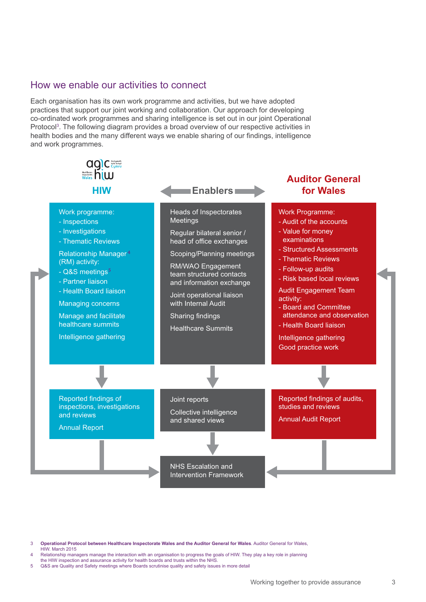#### How we enable our activities to connect

Each organisation has its own work programme and activities, but we have adopted practices that support our joint working and collaboration. Our approach for developing co-ordinated work programmes and sharing intelligence is set out in our joint Operational Protocol<sup>3</sup>. The following diagram provides a broad overview of our respective activities in health bodies and the many different ways we enable sharing of our findings, intelligence and work programmes.



3 **[Operational Protocol between Healthcare Inspectorate Wales and the Auditor General for Wales](http://www.audit.wales/sites/default/files/download_documents/hiw_agw_operational_protocol_english.pdf)**. Auditor General for Wales, HIW. March 2015

- 4 Relationship managers manage the interaction with an organisation to progress the goals of HIW. They play a key role in planning the HIW inspection and assurance activity for health boards and trusts within the NHS.
- 5 Q&S are Quality and Safety meetings where Boards scrutinise quality and safety issues in more detail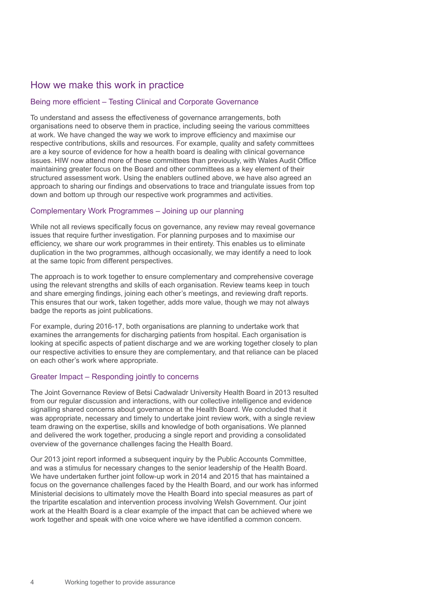## How we make this work in practice

#### Being more efficient – Testing Clinical and Corporate Governance

To understand and assess the effectiveness of governance arrangements, both organisations need to observe them in practice, including seeing the various committees at work. We have changed the way we work to improve efficiency and maximise our respective contributions, skills and resources. For example, quality and safety committees are a key source of evidence for how a health board is dealing with clinical governance issues. HIW now attend more of these committees than previously, with Wales Audit Office maintaining greater focus on the Board and other committees as a key element of their structured assessment work. Using the enablers outlined above, we have also agreed an approach to sharing our findings and observations to trace and triangulate issues from top down and bottom up through our respective work programmes and activities.

#### Complementary Work Programmes – Joining up our planning

While not all reviews specifically focus on governance, any review may reveal governance issues that require further investigation. For planning purposes and to maximise our efficiency, we share our work programmes in their entirety. This enables us to eliminate duplication in the two programmes, although occasionally, we may identify a need to look at the same topic from different perspectives.

The approach is to work together to ensure complementary and comprehensive coverage using the relevant strengths and skills of each organisation. Review teams keep in touch and share emerging findings, joining each other's meetings, and reviewing draft reports. This ensures that our work, taken together, adds more value, though we may not always badge the reports as joint publications.

For example, during 2016-17, both organisations are planning to undertake work that examines the arrangements for discharging patients from hospital. Each organisation is looking at specific aspects of patient discharge and we are working together closely to plan our respective activities to ensure they are complementary, and that reliance can be placed on each other's work where appropriate.

#### Greater Impact – Responding jointly to concerns

The Joint Governance Review of Betsi Cadwaladr University Health Board in 2013 resulted from our regular discussion and interactions, with our collective intelligence and evidence signalling shared concerns about governance at the Health Board. We concluded that it was appropriate, necessary and timely to undertake joint review work, with a single review team drawing on the expertise, skills and knowledge of both organisations. We planned and delivered the work together, producing a single report and providing a consolidated overview of the governance challenges facing the Health Board.

Our 2013 joint report informed a subsequent inquiry by the Public Accounts Committee, and was a stimulus for necessary changes to the senior leadership of the Health Board. We have undertaken further joint follow-up work in 2014 and 2015 that has maintained a focus on the governance challenges faced by the Health Board, and our work has informed Ministerial decisions to ultimately move the Health Board into special measures as part of the tripartite escalation and intervention process involving Welsh Government. Our joint work at the Health Board is a clear example of the impact that can be achieved where we work together and speak with one voice where we have identified a common concern.